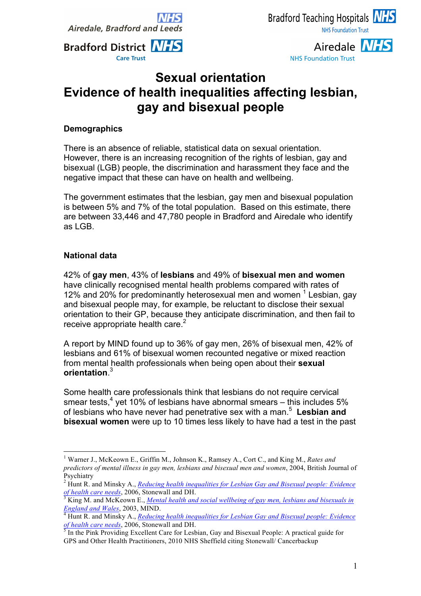



**NHS Foundation Trust** 



# **Sexual orientation Evidence of health inequalities affecting lesbian, gay and bisexual people**

### **Demographics**

There is an absence of reliable, statistical data on sexual orientation. However, there is an increasing recognition of the rights of lesbian, gay and bisexual (LGB) people, the discrimination and harassment they face and the negative impact that these can have on health and wellbeing.

The government estimates that the lesbian, gay men and bisexual population is between 5% and 7% of the total population. Based on this estimate, there are between 33,446 and 47,780 people in Bradford and Airedale who identify as LGB.

#### **National data**

42% of **gay men**, 43% of **lesbians** and 49% of **bisexual men and women** have clinically recognised mental health problems compared with rates of 12% and 20% for predominantly heterosexual men and women  $<sup>1</sup>$  Lesbian, gay</sup> and bisexual people may, for example, be reluctant to disclose their sexual orientation to their GP, because they anticipate discrimination, and then fail to receive appropriate health care.<sup>2</sup>

A report by MIND found up to 36% of gay men, 26% of bisexual men, 42% of lesbians and 61% of bisexual women recounted negative or mixed reaction from mental health professionals when being open about their **sexual orientation**. 3

Some health care professionals think that lesbians do not require cervical smear tests,<sup>4</sup> yet 10% of lesbians have abnormal smears – this includes 5% of lesbians who have never had penetrative sex with a man. 5 **Lesbian and bisexual women** were up to 10 times less likely to have had a test in the past

 <sup>1</sup> Warner J., McKeown E., Griffin M., Johnson K., Ramsey A., Cort C., and King M., *Rates and predictors of mental illness in gay men, lesbians and bisexual men and women*, 2004, British Journal of Psychiatry

<sup>2</sup> Hunt R. and Minsky A., *Reducing health inequalities for Lesbian Gay and Bisexual people: Evidence of health care needs*, 2006, Stonewall and DH.<br><sup>3</sup> King M. and McKeown E., *Mental health and social wellbeing of gay men, lesbians and bisexuals in* 

*England and Wales*, 2003, MIND.<br><sup>4</sup> Hunt R. and Minsky A., *<u>Reducing health inequalities for Lesbian Gay and Bisexual people: Evidence</u> of health care needs*, 2006, Stonewall and DH.<br><sup>5</sup> In the Pink Providing Excellent Care for Lesbian, Gay and Bisexual People: A practical guide for

GPS and Other Health Practitioners, 2010 NHS Sheffield citing Stonewall/ Cancerbackup